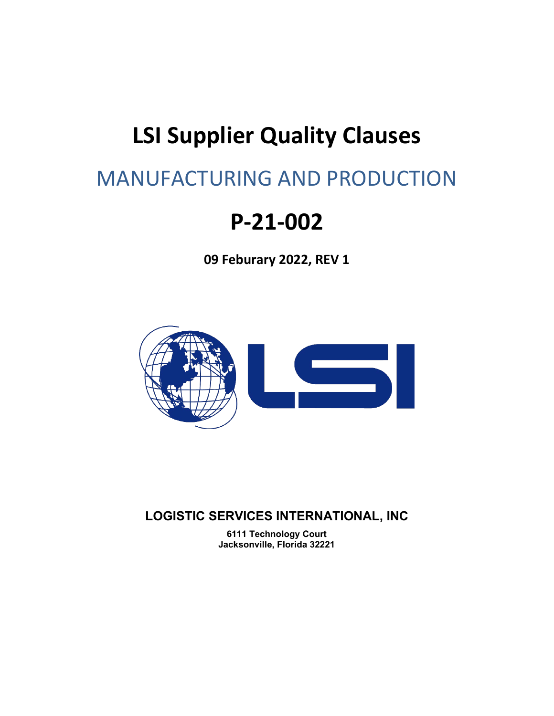# **LSI Supplier Quality Clauses**

# MANUFACTURING AND PRODUCTION

# **P-21-002**

**09 Feburary 2022, REV 1**



**LOGISTIC SERVICES INTERNATIONAL, INC**

**6111 Technology Court Jacksonville, Florida 32221**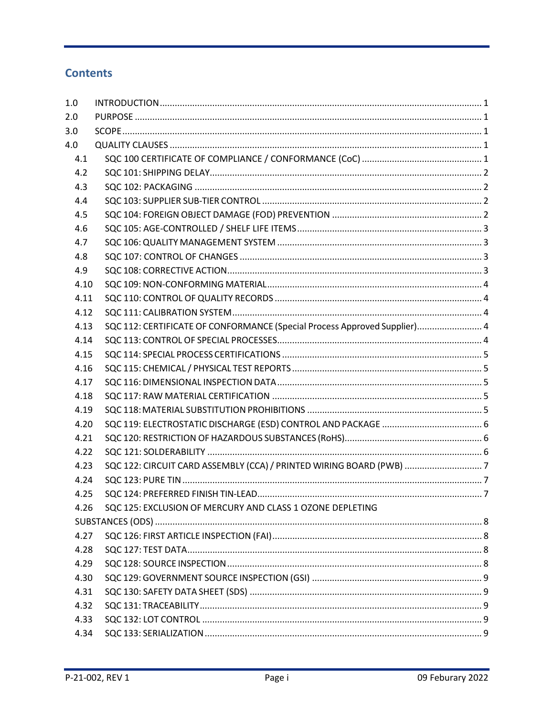## **Contents**

| 4.10 |                                                                                                                                                                                                               |  |
|------|---------------------------------------------------------------------------------------------------------------------------------------------------------------------------------------------------------------|--|
| 4.11 |                                                                                                                                                                                                               |  |
| 4.12 |                                                                                                                                                                                                               |  |
| 4.13 |                                                                                                                                                                                                               |  |
| 4.14 |                                                                                                                                                                                                               |  |
| 4.15 |                                                                                                                                                                                                               |  |
| 4.16 |                                                                                                                                                                                                               |  |
| 4.17 |                                                                                                                                                                                                               |  |
| 4.18 |                                                                                                                                                                                                               |  |
| 4.19 |                                                                                                                                                                                                               |  |
| 4.20 |                                                                                                                                                                                                               |  |
| 4.21 |                                                                                                                                                                                                               |  |
| 4.22 |                                                                                                                                                                                                               |  |
| 4.23 |                                                                                                                                                                                                               |  |
| 4.24 |                                                                                                                                                                                                               |  |
| 4.25 |                                                                                                                                                                                                               |  |
| 4.26 |                                                                                                                                                                                                               |  |
|      |                                                                                                                                                                                                               |  |
| 4.27 |                                                                                                                                                                                                               |  |
| 4.28 |                                                                                                                                                                                                               |  |
| 4.29 |                                                                                                                                                                                                               |  |
| 4.30 |                                                                                                                                                                                                               |  |
| 4.31 |                                                                                                                                                                                                               |  |
| 4.32 |                                                                                                                                                                                                               |  |
| 4.33 |                                                                                                                                                                                                               |  |
| 4.34 |                                                                                                                                                                                                               |  |
|      | SQC 112: CERTIFICATE OF CONFORMANCE (Special Process Approved Supplier) 4<br>SQC 122: CIRCUIT CARD ASSEMBLY (CCA) / PRINTED WIRING BOARD (PWB) 7<br>SQC 125: EXCLUSION OF MERCURY AND CLASS 1 OZONE DEPLETING |  |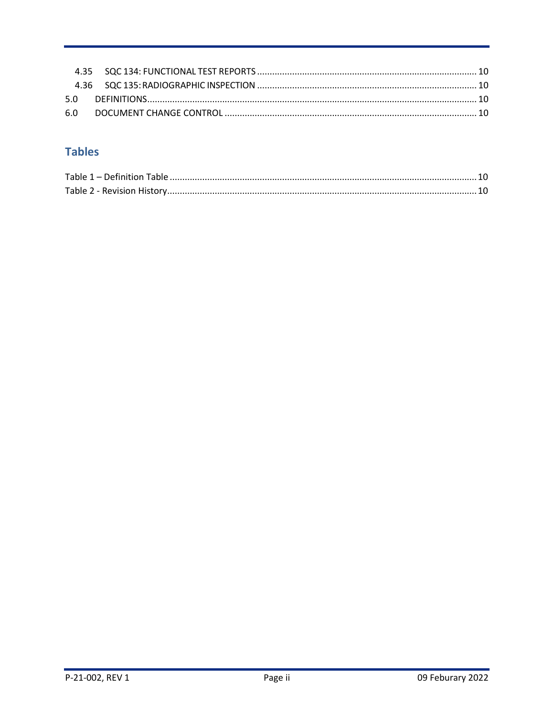# **Tables**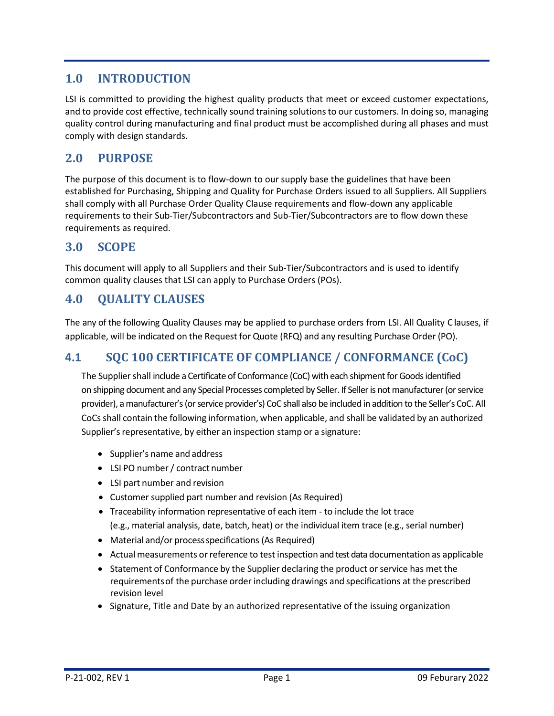# <span id="page-3-0"></span>**1.0 INTRODUCTION**

LSI is committed to providing the highest quality products that meet or exceed customer expectations, and to provide cost effective, technically sound training solutions to our customers. In doing so, managing quality control during manufacturing and final product must be accomplished during all phases and must comply with design standards.

## <span id="page-3-1"></span>**2.0 PURPOSE**

The purpose of this document is to flow-down to our supply base the guidelines that have been established for Purchasing, Shipping and Quality for Purchase Orders issued to all Suppliers. All Suppliers shall comply with all Purchase Order Quality Clause requirements and flow-down any applicable requirements to their Sub-Tier/Subcontractors and Sub-Tier/Subcontractors are to flow down these requirements as required.

### <span id="page-3-2"></span>**3.0 SCOPE**

This document will apply to all Suppliers and their Sub-Tier/Subcontractors and is used to identify common quality clauses that LSI can apply to Purchase Orders (POs).

## <span id="page-3-3"></span>**4.0 QUALITY CLAUSES**

The any of the following Quality Clauses may be applied to purchase orders from LSI. All Quality C lauses, if applicable, will be indicated on the Request for Quote (RFQ) and any resulting Purchase Order (PO).

## <span id="page-3-4"></span>**4.1 SQC 100 CERTIFICATE OF COMPLIANCE / CONFORMANCE (CoC)**

The Supplier shall include a Certificate of Conformance (CoC) with each shipment for Goods identified on shipping document and any Special Processes completed by Seller. If Seller is not manufacturer (or service provider), a manufacturer's (orservice provider's) CoC shall also be included in addition to the Seller's CoC. All CoCs shall contain the following information, when applicable, and shall be validated by an authorized Supplier's representative, by either an inspection stamp or a signature:

- Supplier's name and address
- LSI PO number/ contract number
- LSI part number and revision
- Customer supplied part number and revision (As Required)
- Traceability information representative of each item to include the lot trace (e.g., material analysis, date, batch, heat) or the individual item trace (e.g., serial number)
- Material and/or processspecifications (As Required)
- Actual measurements or reference to test inspection and test data documentation as applicable
- Statement of Conformance by the Supplier declaring the product or service has met the requirementsof the purchase order including drawings and specifications at the prescribed revision level
- Signature, Title and Date by an authorized representative of the issuing organization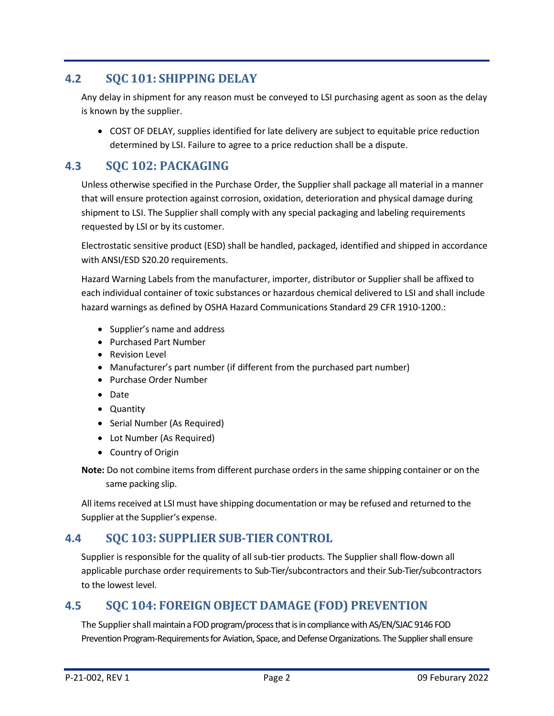## <span id="page-4-0"></span>**4.2 SQC 101: SHIPPING DELAY**

Any delay in shipment for any reason must be conveyed to LSI purchasing agent as soon as the delay is known by the supplier.

• COST OF DELAY, supplies identified for late delivery are subject to equitable price reduction determined by LSI. Failure to agree to a price reduction shall be a dispute.

# <span id="page-4-1"></span>**4.3 SQC 102: PACKAGING**

Unless otherwise specified in the Purchase Order, the Supplier shall package all material in a manner that will ensure protection against corrosion, oxidation, deterioration and physical damage during shipment to LSI. The Supplier shall comply with any special packaging and labeling requirements requested by LSI or by its customer.

Electrostatic sensitive product (ESD) shall be handled, packaged, identified and shipped in accordance with ANSI/ESD S20.20 requirements.

Hazard Warning Labels from the manufacturer, importer, distributor or Supplier shall be affixed to each individual container of toxic substances or hazardous chemical delivered to LSI and shall include hazard warnings as defined by OSHA Hazard Communications Standard 29 CFR 1910-1200.:

- Supplier's name and address
- Purchased Part Number
- Revision Level
- Manufacturer's part number (if different from the purchased part number)
- Purchase Order Number
- Date
- Quantity
- Serial Number (As Required)
- Lot Number (As Required)
- Country of Origin

**Note:** Do not combine items from different purchase ordersin the same shipping container or on the same packing slip.

All items received at LSI must have shipping documentation or may be refused and returned to the Supplier at the Supplier's expense.

## <span id="page-4-2"></span>**4.4 SQC 103: SUPPLIER SUB-TIER CONTROL**

Supplier is responsible for the quality of all sub-tier products. The Supplier shall flow-down all applicable purchase order requirements to Sub-Tier/subcontractors and their Sub-Tier/subcontractors to the lowest level.

## <span id="page-4-3"></span>**4.5 SQC 104: FOREIGN OBJECT DAMAGE (FOD) PREVENTION**

The Supplier shall maintain a FOD program/process that is in compliance with AS/EN/SJAC 9146 FOD Prevention Program-Requirements for Aviation, Space, and Defense Organizations. The Supplier shall ensure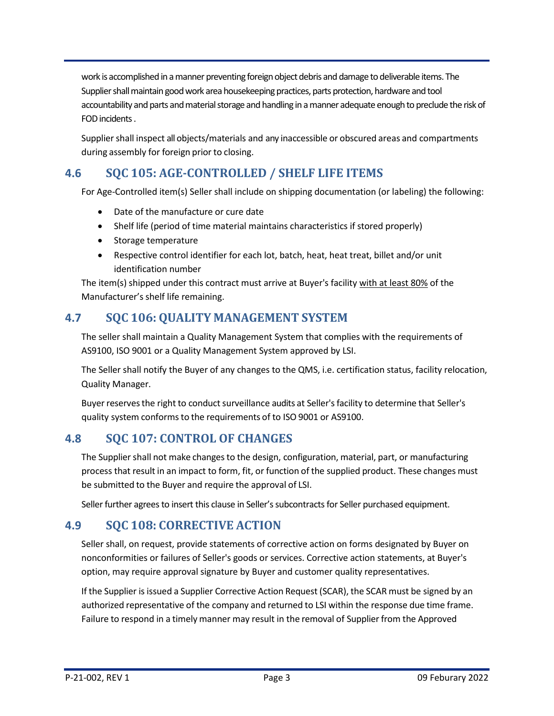work is accomplished in amanner preventing foreign object debris and damage to deliverable items. The Supplier shall maintain good work area housekeeping practices, parts protection, hardware and tool accountability and parts and material storage and handling in a manner adequate enough to preclude the risk of FOD incidents.

Supplier shall inspect all objects/materials and any inaccessible or obscured areas and compartments during assembly for foreign prior to closing.

# <span id="page-5-0"></span>**4.6 SQC 105: AGE-CONTROLLED / SHELF LIFE ITEMS**

For Age-Controlled item(s) Seller shall include on shipping documentation (or labeling) the following:

- Date of the manufacture or cure date
- Shelf life (period of time material maintains characteristics if stored properly)
- Storage temperature
- Respective control identifier for each lot, batch, heat, heat treat, billet and/or unit identification number

The item(s) shipped under this contract must arrive at Buyer's facility with at least 80% of the Manufacturer's shelf life remaining.

## <span id="page-5-1"></span>**4.7 SQC 106:QUALITY MANAGEMENT SYSTEM**

The seller shall maintain a Quality Management System that complies with the requirements of AS9100, ISO 9001 or a Quality Management System approved by LSI.

The Seller shall notify the Buyer of any changes to the QMS, i.e. certification status, facility relocation, Quality Manager.

Buyer reserves the right to conduct surveillance audits at Seller's facility to determine that Seller's quality system conforms to the requirements of to ISO 9001 or AS9100.

## <span id="page-5-2"></span>**4.8 SQC 107: CONTROL OF CHANGES**

The Supplier shall not make changes to the design, configuration, material, part, or manufacturing process that result in an impact to form, fit, or function of the supplied product. These changes must be submitted to the Buyer and require the approval of LSI.

Seller further agrees to insert this clause in Seller's subcontracts for Seller purchased equipment.

## <span id="page-5-3"></span>**4.9 SQC 108: CORRECTIVE ACTION**

Seller shall, on request, provide statements of corrective action on forms designated by Buyer on nonconformities or failures of Seller's goods or services. Corrective action statements, at Buyer's option, may require approval signature by Buyer and customer quality representatives.

If the Supplier is issued a Supplier Corrective Action Request (SCAR), the SCAR must be signed by an authorized representative of the company and returned to LSI within the response due time frame. Failure to respond in a timely manner may result in the removal of Supplier from the Approved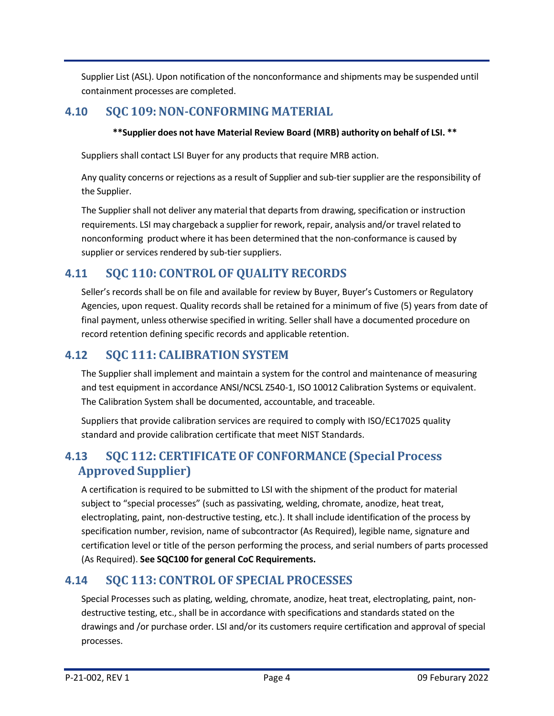Supplier List (ASL). Upon notification of the nonconformance and shipments may be suspended until containment processes are completed.

### <span id="page-6-0"></span>**4.10 SQC 109:NON-CONFORMING MATERIAL**

#### **\*\*Supplier does not have Material Review Board (MRB) authority on behalf of LSI. \*\***

Suppliers shall contact LSI Buyer for any products that require MRB action.

Any quality concerns or rejections as a result of Supplier and sub-tier supplier are the responsibility of the Supplier.

The Supplier shall not deliver any material that departs from drawing, specification or instruction requirements. LSI may chargeback a supplier for rework, repair, analysis and/or travel related to nonconforming product where it has been determined that the non-conformance is caused by supplier or services rendered by sub-tier suppliers.

## <span id="page-6-1"></span>**4.11 SQC 110: CONTROL OF QUALITY RECORDS**

Seller's records shall be on file and available for review by Buyer, Buyer's Customers or Regulatory Agencies, upon request. Quality records shall be retained for a minimum of five (5) years from date of final payment, unless otherwise specified in writing. Seller shall have a documented procedure on record retention defining specific records and applicable retention.

### <span id="page-6-2"></span>**4.12 SQC 111: CALIBRATION SYSTEM**

The Supplier shall implement and maintain a system for the control and maintenance of measuring and test equipment in accordance ANSI/NCSL Z540-1, ISO 10012 Calibration Systems or equivalent. The Calibration System shall be documented, accountable, and traceable.

Suppliers that provide calibration services are required to comply with ISO/EC17025 quality standard and provide calibration certificate that meet NIST Standards.

## <span id="page-6-3"></span>**4.13 SQC 112: CERTIFICATE OF CONFORMANCE (Special Process Approved Supplier)**

A certification is required to be submitted to LSI with the shipment of the product for material subject to "special processes" (such as passivating, welding, chromate, anodize, heat treat, electroplating, paint, non-destructive testing, etc.). It shall include identification of the process by specification number, revision, name of subcontractor (As Required), legible name, signature and certification level or title of the person performing the process, and serial numbers of parts processed (As Required). **See SQC100 for general CoC Requirements.**

## <span id="page-6-4"></span>**4.14 SQC 113: CONTROL OF SPECIAL PROCESSES**

Special Processes such as plating, welding, chromate, anodize, heat treat, electroplating, paint, nondestructive testing, etc., shall be in accordance with specifications and standards stated on the drawings and /or purchase order. LSI and/or its customers require certification and approval of special processes.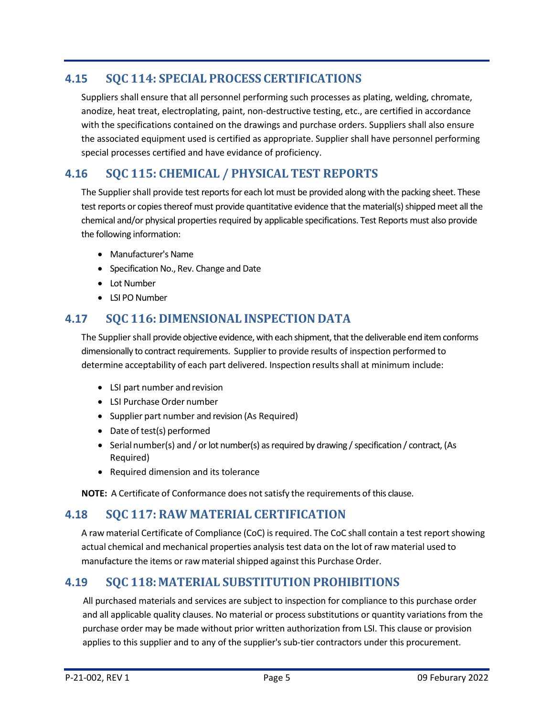# <span id="page-7-0"></span>**4.15 SQC 114: SPECIAL PROCESS CERTIFICATIONS**

Suppliers shall ensure that all personnel performing such processes as plating, welding, chromate, anodize, heat treat, electroplating, paint, non-destructive testing, etc., are certified in accordance with the specifications contained on the drawings and purchase orders. Suppliers shall also ensure the associated equipment used is certified as appropriate. Supplier shall have personnel performing special processes certified and have evidance of proficiency.

# <span id="page-7-1"></span>**4.16 SQC 115: CHEMICAL / PHYSICAL TEST REPORTS**

The Supplier shall provide test reports for each lot must be provided along with the packing sheet. These test reports or copies thereof must provide quantitative evidence that the material(s) shipped meet all the chemical and/or physical properties required by applicable specifications. Test Reports must also provide the following information:

- Manufacturer's Name
- Specification No., Rev. Change and Date
- Lot Number
- LSI PO Number

#### <span id="page-7-2"></span>**4.17 SQC 116: DIMENSIONAL INSPECTION DATA**

The Supplier shall provide objective evidence, with each shipment, that the deliverable end item conforms dimensionally to contract requirements. Supplierto provide results of inspection performed to determine acceptability of each part delivered. Inspection results shall at minimum include:

- LSI part number and revision
- LSI Purchase Order number
- Supplier part number and revision (As Required)
- Date of test(s) performed
- Serial number(s) and / or lot number(s) as required by drawing / specification / contract, (As Required)
- Required dimension and its tolerance

**NOTE:** A Certificate of Conformance does notsatisfy the requirements of this clause.

#### <span id="page-7-3"></span>**4.18 SQC 117: RAW MATERIAL CERTIFICATION**

A raw material Certificate of Compliance (CoC) is required. The CoC shall contain a test report showing actual chemical and mechanical properties analysis test data on the lot of raw material used to manufacture the items or raw material shipped against this Purchase Order.

## <span id="page-7-4"></span>**4.19 SQC 118:MATERIAL SUBSTITUTION PROHIBITIONS**

All purchased materials and services are subject to inspection for compliance to this purchase order and all applicable quality clauses. No material or process substitutions or quantity variations from the purchase order may be made without prior written authorization from LSI. This clause or provision applies to this supplier and to any of the supplier's sub-tier contractors under this procurement.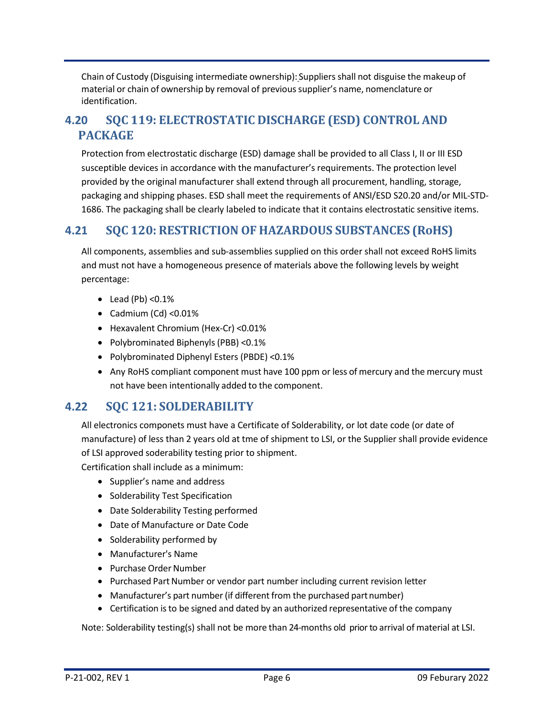Chain of Custody (Disguising intermediate ownership): Suppliers shall not disguise the makeup of material or chain of ownership by removal of previoussupplier's name, nomenclature or identification.

## <span id="page-8-0"></span>**4.20 SQC 119: ELECTROSTATIC DISCHARGE (ESD) CONTROL AND PACKAGE**

Protection from electrostatic discharge (ESD) damage shall be provided to all Class I, II or III ESD susceptible devices in accordance with the manufacturer's requirements. The protection level provided by the original manufacturer shall extend through all procurement, handling, storage, packaging and shipping phases. ESD shall meet the requirements of ANSI/ESD S20.20 and/or MIL-STD-1686. The packaging shall be clearly labeled to indicate that it contains electrostatic sensitive items.

## <span id="page-8-1"></span>**4.21 SQC 120: RESTRICTION OF HAZARDOUS SUBSTANCES (RoHS)**

All components, assemblies and sub-assemblies supplied on this order shall not exceed RoHS limits and must not have a homogeneous presence of materials above the following levels by weight percentage:

- $\bullet$  Lead (Pb) < 0.1%
- Cadmium (Cd) <0.01%
- Hexavalent Chromium (Hex-Cr) <0.01%
- Polybrominated Biphenyls (PBB) <0.1%
- Polybrominated Diphenyl Esters (PBDE) <0.1%
- Any RoHS compliant component must have 100 ppm or less of mercury and the mercury must not have been intentionally added to the component.

## <span id="page-8-2"></span>**4.22 SQC 121: SOLDERABILITY**

All electronics componets must have a Certificate of Solderability, or lot date code (or date of manufacture) of less than 2 years old at tme of shipment to LSI, or the Supplier shall provide evidence of LSI approved soderability testing prior to shipment.

Certification shall include as a minimum:

- Supplier's name and address
- Solderability Test Specification
- Date Solderability Testing performed
- Date of Manufacture or Date Code
- Solderability performed by
- Manufacturer's Name
- Purchase Order Number
- Purchased Part Number or vendor part number including current revision letter
- Manufacturer's part number (if different from the purchased part number)
- Certification isto be signed and dated by an authorized representative of the company

Note: Solderability testing(s) shall not be more than 24-months old prior to arrival of material at LSI.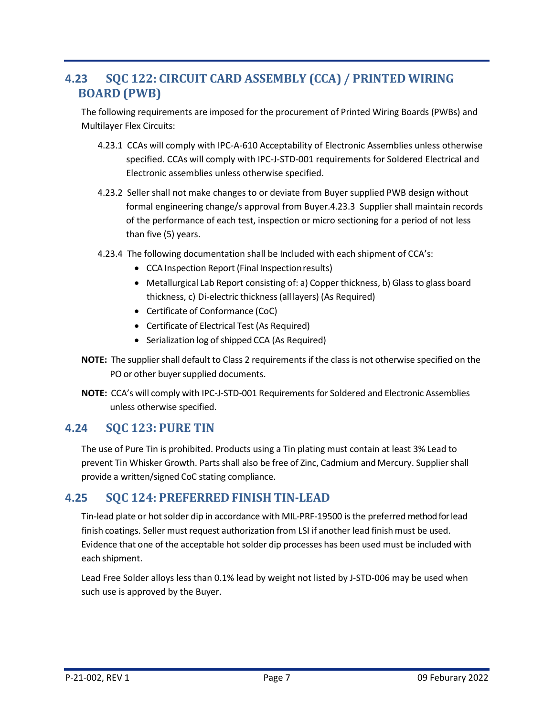# <span id="page-9-0"></span>**4.23 SQC 122: CIRCUIT CARD ASSEMBLY (CCA) / PRINTED WIRING BOARD (PWB)**

The following requirements are imposed for the procurement of Printed Wiring Boards (PWBs) and Multilayer Flex Circuits:

- 4.23.1 CCAs will comply with IPC-A-610 Acceptability of Electronic Assemblies unless otherwise specified. CCAs will comply with IPC-J-STD-001 requirements for Soldered Electrical and Electronic assemblies unless otherwise specified.
- 4.23.2 Seller shall not make changes to or deviate from Buyer supplied PWB design without formal engineering change/s approval from Buyer.4.23.3 Supplier shall maintain records of the performance of each test, inspection or micro sectioning for a period of not less than five (5) years.
- 4.23.4 The following documentation shall be Included with each shipment of CCA's:
	- CCA Inspection Report (Final Inspectionresults)
	- Metallurgical Lab Report consisting of: a) Copper thickness, b) Glass to glass board thickness, c) Di-electric thickness(all layers) (As Required)
	- Certificate of Conformance (CoC)
	- Certificate of Electrical Test (As Required)
	- Serialization log of shipped CCA (As Required)
- **NOTE:** The supplier shall default to Class 2 requirements if the class is not otherwise specified on the PO or other buyer supplied documents.
- **NOTE:** CCA's will comply with IPC-J-STD-001 Requirementsfor Soldered and Electronic Assemblies unless otherwise specified.

#### <span id="page-9-1"></span>**4.24 SQC 123: PURE TIN**

The use of Pure Tin is prohibited. Products using a Tin plating must contain at least 3% Lead to prevent Tin Whisker Growth. Parts shall also be free of Zinc, Cadmium and Mercury. Suppliershall provide a written/signed CoC stating compliance.

#### <span id="page-9-2"></span>**4.25 SQC 124: PREFERRED FINISH TIN-LEAD**

Tin-lead plate or hot solder dip in accordance with MIL-PRF-19500 is the preferred method for lead finish coatings. Seller must request authorization from LSI if another lead finish must be used. Evidence that one of the acceptable hot solder dip processes has been used must be included with each shipment.

Lead Free Solder alloys less than 0.1% lead by weight not listed by J-STD-006 may be used when such use is approved by the Buyer.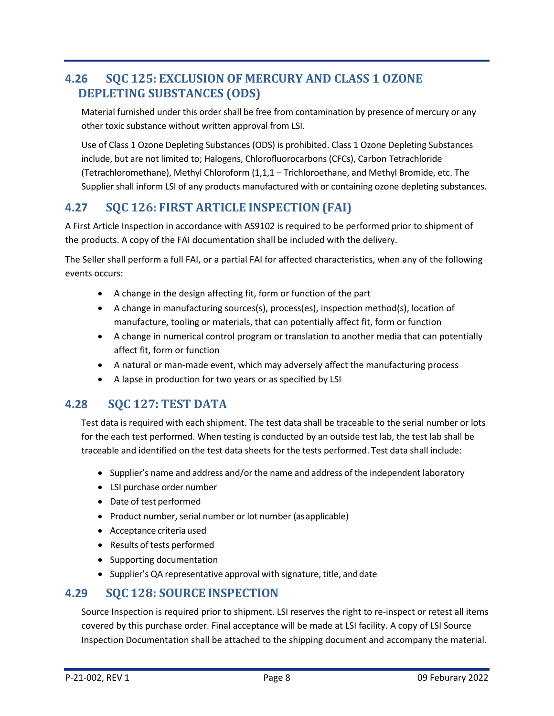# <span id="page-10-0"></span>**4.26 SQC 125: EXCLUSION OF MERCURY AND CLASS 1 OZONE DEPLETING SUBSTANCES (ODS)**

Material furnished under this order shall be free from contamination by presence of mercury or any other toxic substance without written approval from LSI.

Use of Class 1 Ozone Depleting Substances (ODS) is prohibited. Class 1 Ozone Depleting Substances include, but are not limited to; Halogens, Chlorofluorocarbons (CFCs), Carbon Tetrachloride (Tetrachloromethane), Methyl Chloroform (1,1,1 – Trichloroethane, and Methyl Bromide, etc. The Supplier shall inform LSI of any products manufactured with or containing ozone depleting substances.

## <span id="page-10-1"></span>**4.27 SQC 126: FIRST ARTICLE INSPECTION (FAI)**

A First Article Inspection in accordance with AS9102 is required to be performed prior to shipment of the products. A copy of the FAI documentation shall be included with the delivery.

The Seller shall perform a full FAI, or a partial FAI for affected characteristics, when any of the following events occurs:

- A change in the design affecting fit, form or function of the part
- A change in manufacturing sources(s), process(es), inspection method(s), location of manufacture, tooling or materials, that can potentially affect fit, form or function
- A change in numerical control program or translation to another media that can potentially affect fit, form or function
- A natural or man-made event, which may adversely affect the manufacturing process
- <span id="page-10-2"></span>• A lapse in production for two years or as specified by LSI

## **4.28 SQC 127: TEST DATA**

Test data is required with each shipment. The test data shall be traceable to the serial number or lots for the each test performed. When testing is conducted by an outside test lab, the test lab shall be traceable and identified on the test data sheets for the tests performed. Test data shall include:

- Supplier's name and address and/or the name and address of the independent laboratory
- LSI purchase order number
- Date of test performed
- Product number, serial number or lot number (as applicable)
- Acceptance criteria used
- Results of tests performed
- Supporting documentation
- Supplier's QA representative approval with signature, title, anddate

#### <span id="page-10-3"></span>**4.29 SQC 128: SOURCE INSPECTION**

Source Inspection is required prior to shipment. LSI reserves the right to re-inspect or retest all items covered by this purchase order. Final acceptance will be made at LSI facility. A copy of LSI Source Inspection Documentation shall be attached to the shipping document and accompany the material.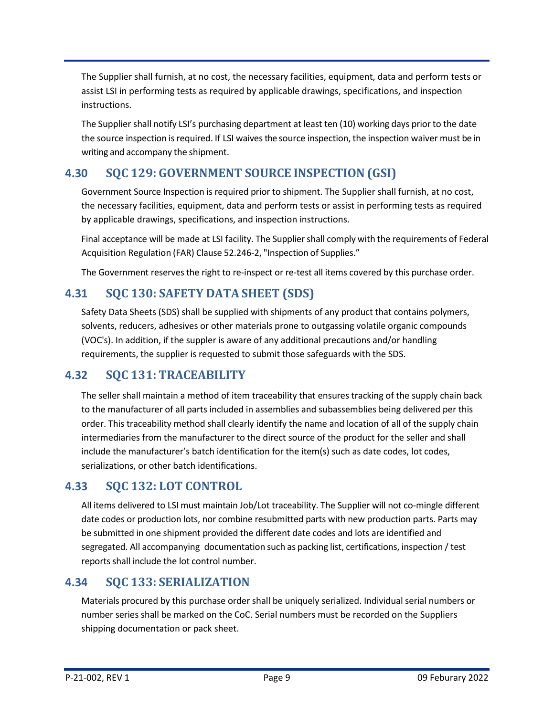The Supplier shall furnish, at no cost, the necessary facilities, equipment, data and perform tests or assist LSI in performing tests as required by applicable drawings, specifications, and inspection instructions.

The Supplier shall notify LSI's purchasing department at least ten (10) working days prior to the date the source inspection is required. If LSI waives the source inspection, the inspection waiver must be in writing and accompany the shipment.

# <span id="page-11-0"></span>**4.30 SQC 129: GOVERNMENT SOURCE INSPECTION (GSI)**

Government Source Inspection is required prior to shipment. The Supplier shall furnish, at no cost, the necessary facilities, equipment, data and perform tests or assist in performing tests as required by applicable drawings, specifications, and inspection instructions.

Final acceptance will be made at LSI facility. The Suppliershall comply with the requirements of Federal Acquisition Regulation (FAR) Clause 52.246-2, "Inspection of Supplies."

The Government reserves the right to re-inspect or re-test all items covered by this purchase order.

# <span id="page-11-1"></span>**4.31 SQC 130: SAFETY DATA SHEET (SDS)**

Safety Data Sheets (SDS) shall be supplied with shipments of any product that contains polymers, solvents, reducers, adhesives or other materials prone to outgassing volatile organic compounds (VOC's). In addition, if the suppler is aware of any additional precautions and/or handling requirements, the supplier is requested to submit those safeguards with the SDS.

## <span id="page-11-2"></span>**4.32 SQC 131: TRACEABILITY**

The seller shall maintain a method of item traceability that ensures tracking of the supply chain back to the manufacturer of all parts included in assemblies and subassemblies being delivered per this order. This traceability method shall clearly identify the name and location of all of the supply chain intermediaries from the manufacturer to the direct source of the product for the seller and shall include the manufacturer's batch identification for the item(s) such as date codes, lot codes, serializations, or other batch identifications.

## <span id="page-11-3"></span>**4.33 SQC 132: LOT CONTROL**

All items delivered to LSI must maintain Job/Lot traceability. The Supplier will not co-mingle different date codes or production lots, nor combine resubmitted parts with new production parts. Parts may be submitted in one shipment provided the different date codes and lots are identified and segregated. All accompanying documentation such as packing list, certifications, inspection / test reports shall include the lot control number.

## <span id="page-11-4"></span>**4.34 SQC 133: SERIALIZATION**

Materials procured by this purchase order shall be uniquely serialized. Individual serial numbers or number series shall be marked on the CoC. Serial numbers must be recorded on the Suppliers shipping documentation or pack sheet.